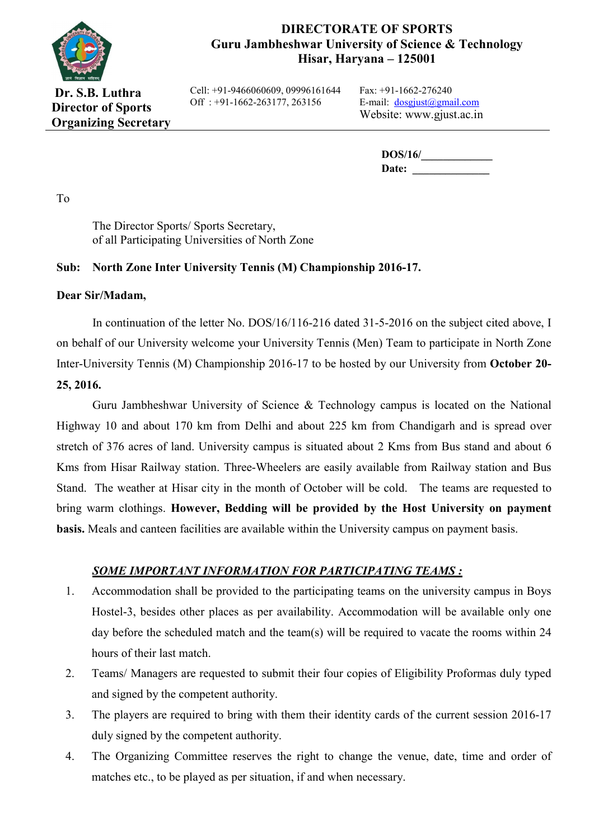

## **DIRECTORATE OF SPORTS Guru Jambheshwar University of Science & Technology Hisar, Haryana – 125001**

**Dr. S.B. Luthra Director of Sports Organizing Secretary** Cell: +91-9466060609, 09996161644 Off : +91-1662-263177, 263156

Fax: +91-1662-276240 E-mail: dosgjust@gmail.com Website: www.gjust.ac.in

> **DOS/16/** Date:

To

The Director Sports/ Sports Secretary, of all Participating Universities of North Zone

### **Sub: North Zone Inter University Tennis (M) Championship 2016-17.**

#### **Dear Sir/Madam,**

In continuation of the letter No. DOS/16/116-216 dated 31-5-2016 on the subject cited above, I on behalf of our University welcome your University Tennis (Men) Team to participate in North Zone Inter-University Tennis (M) Championship 2016-17 to be hosted by our University from **October 20- 25, 2016.**

Guru Jambheshwar University of Science & Technology campus is located on the National Highway 10 and about 170 km from Delhi and about 225 km from Chandigarh and is spread over stretch of 376 acres of land. University campus is situated about 2 Kms from Bus stand and about 6 Kms from Hisar Railway station. Three-Wheelers are easily available from Railway station and Bus Stand. The weather at Hisar city in the month of October will be cold. The teams are requested to bring warm clothings. **However, Bedding will be provided by the Host University on payment basis.** Meals and canteen facilities are available within the University campus on payment basis.

### *SOME IMPORTANT INFORMATION FOR PARTICIPATING TEAMS :*

- 1. Accommodation shall be provided to the participating teams on the university campus in Boys Hostel-3, besides other places as per availability. Accommodation will be available only one day before the scheduled match and the team(s) will be required to vacate the rooms within 24 hours of their last match.
- 2. Teams/ Managers are requested to submit their four copies of Eligibility Proformas duly typed and signed by the competent authority.
- 3. The players are required to bring with them their identity cards of the current session 2016-17 duly signed by the competent authority.
- 4. The Organizing Committee reserves the right to change the venue, date, time and order of matches etc., to be played as per situation, if and when necessary.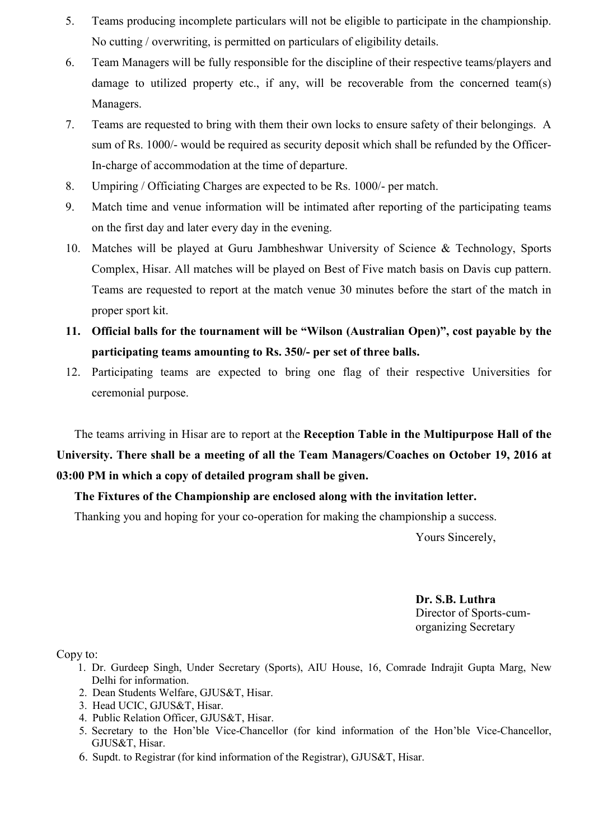- 5. Teams producing incomplete particulars will not be eligible to participate in the championship. No cutting / overwriting, is permitted on particulars of eligibility details.
- 6. Team Managers will be fully responsible for the discipline of their respective teams/players and damage to utilized property etc., if any, will be recoverable from the concerned team(s) Managers.
- 7. Teams are requested to bring with them their own locks to ensure safety of their belongings. A sum of Rs. 1000/- would be required as security deposit which shall be refunded by the Officer-In-charge of accommodation at the time of departure.
- 8. Umpiring / Officiating Charges are expected to be Rs. 1000/- per match.
- 9. Match time and venue information will be intimated after reporting of the participating teams on the first day and later every day in the evening.
- 10. Matches will be played at Guru Jambheshwar University of Science & Technology, Sports Complex, Hisar. All matches will be played on Best of Five match basis on Davis cup pattern. Teams are requested to report at the match venue 30 minutes before the start of the match in proper sport kit.
- **11. Official balls for the tournament will be "Wilson (Australian Open)", cost payable by the participating teams amounting to Rs. 350/- per set of three balls.**
- 12. Participating teams are expected to bring one flag of their respective Universities for ceremonial purpose.

The teams arriving in Hisar are to report at the **Reception Table in the Multipurpose Hall of the University. There shall be a meeting of all the Team Managers/Coaches on October 19, 2016 at 03:00 PM in which a copy of detailed program shall be given.** 

### **The Fixtures of the Championship are enclosed along with the invitation letter.**

Thanking you and hoping for your co-operation for making the championship a success.

Yours Sincerely,

 **Dr. S.B. Luthra** Director of Sports-cumorganizing Secretary

Copy to:

- 1. Dr. Gurdeep Singh, Under Secretary (Sports), AIU House, 16, Comrade Indrajit Gupta Marg, New Delhi for information.
- 2. Dean Students Welfare, GJUS&T, Hisar.
- 3. Head UCIC, GJUS&T, Hisar.
- 4. Public Relation Officer, GJUS&T, Hisar.
- 5. Secretary to the Hon'ble Vice-Chancellor (for kind information of the Hon'ble Vice-Chancellor, GJUS&T, Hisar.
- 6. Supdt. to Registrar (for kind information of the Registrar), GJUS&T, Hisar.